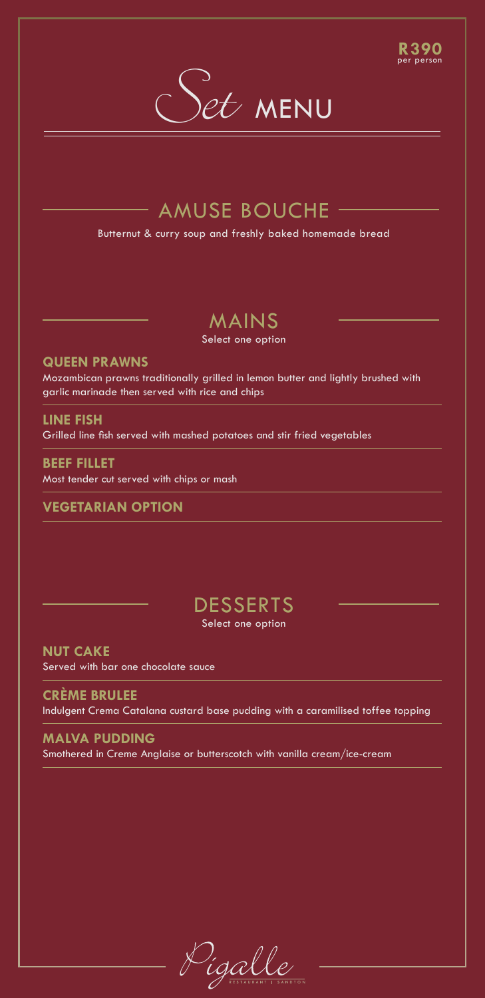#### **R390** per person



## $-$  AMUSE BOUCHE  $-$

Butternut & curry soup and freshly baked homemade bread

# MAINS

Select one option

### **QUEEN PRAWNS**

Mozambican prawns traditionally grilled in lemon butter and lightly brushed with garlic marinade then served with rice and chips

### **LINE FISH**

Grilled line fish served with mashed potatoes and stir fried vegetables

**BEEF FILLET** Most tender cut served with chips or mash

### **VEGETARIAN OPTION**

## **DESSERTS** Select one option

**NUT CAKE**  Served with bar one chocolate sauce

**CRÈME BRULEE**  Indulgent Crema Catalana custard base pudding with a caramilised toffee topping

### **MALVA PUDDING**  Smothered in Creme Anglaise or butterscotch with vanilla cream/ice-cream

igal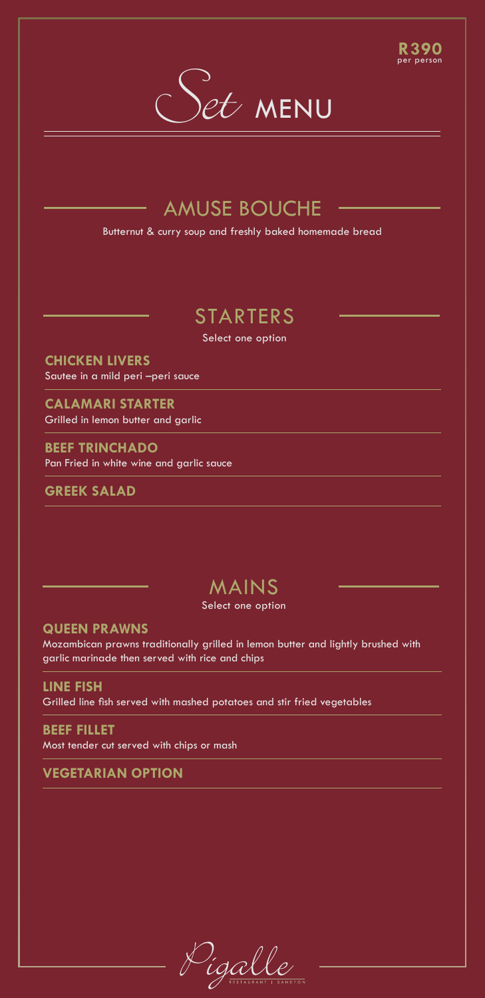# Set MENU

**R390** per person

## AMUSE BOUCHE

Butternut & curry soup and freshly baked homemade bread

# STARTERS

Select one option

**CHICKEN LIVERS** Sautee in a mild peri –peri sauce

**CALAMARI STARTER**  Grilled in lemon butter and garlic

**BEEF TRINCHADO** Pan Fried in white wine and garlic sauce

**GREEK SALAD**

## MAINS

Select one option

**QUEEN PRAWNS**

Mozambican prawns traditionally grilled in lemon butter and lightly brushed with garlic marinade then served with rice and chips

**LINE FISH**  Grilled line fish served with mashed potatoes and stir fried vegetables

**BEEF FILLET** Most tender cut served with chips or mash

**VEGETARIAN OPTION**

).<br>ígal